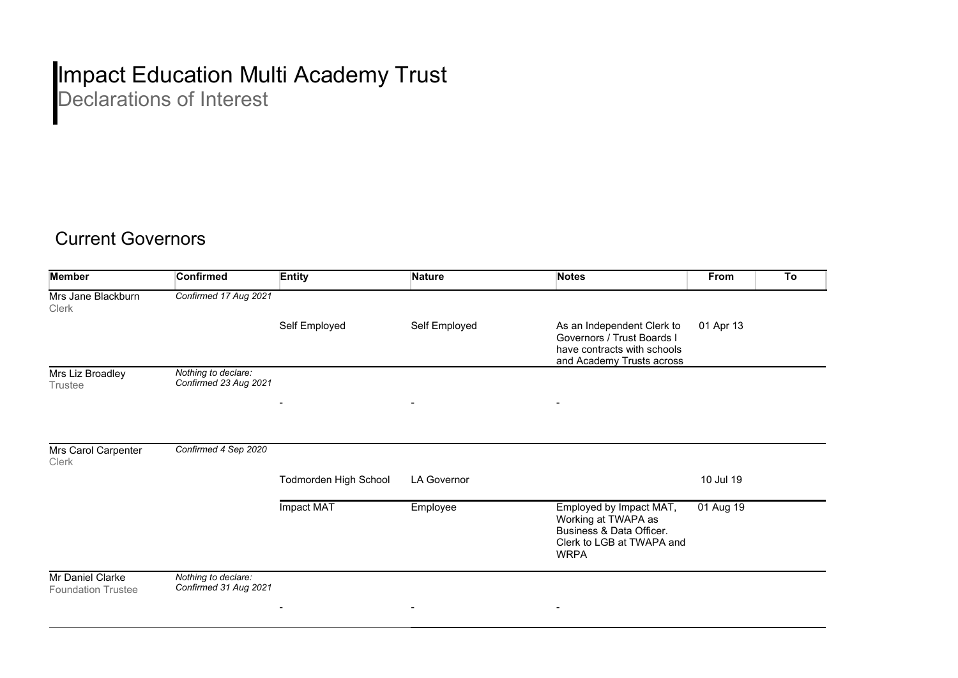## Impact Education Multi Academy Trust

Declarations of Interest

## Current Governors

| <b>Member</b>                                 | <b>Confirmed</b>                             | <b>Entity</b>         | <b>Nature</b>      | <b>Notes</b>                                                                                                           | From      | To |
|-----------------------------------------------|----------------------------------------------|-----------------------|--------------------|------------------------------------------------------------------------------------------------------------------------|-----------|----|
| Mrs Jane Blackburn<br><b>Clerk</b>            | Confirmed 17 Aug 2021                        |                       |                    |                                                                                                                        |           |    |
|                                               |                                              | Self Employed         | Self Employed      | As an Independent Clerk to<br>Governors / Trust Boards I<br>have contracts with schools<br>and Academy Trusts across   | 01 Apr 13 |    |
| Mrs Liz Broadley<br><b>Trustee</b>            | Nothing to declare:<br>Confirmed 23 Aug 2021 |                       |                    |                                                                                                                        |           |    |
|                                               |                                              | $\blacksquare$        |                    |                                                                                                                        |           |    |
| Mrs Carol Carpenter<br>Clerk                  | Confirmed 4 Sep 2020                         |                       |                    |                                                                                                                        |           |    |
|                                               |                                              | Todmorden High School | <b>LA Governor</b> |                                                                                                                        | 10 Jul 19 |    |
|                                               |                                              | Impact MAT            | Employee           | Employed by Impact MAT,<br>Working at TWAPA as<br>Business & Data Officer.<br>Clerk to LGB at TWAPA and<br><b>WRPA</b> | 01 Aug 19 |    |
| Mr Daniel Clarke<br><b>Foundation Trustee</b> | Nothing to declare:<br>Confirmed 31 Aug 2021 |                       |                    |                                                                                                                        |           |    |
|                                               |                                              | $\blacksquare$        |                    |                                                                                                                        |           |    |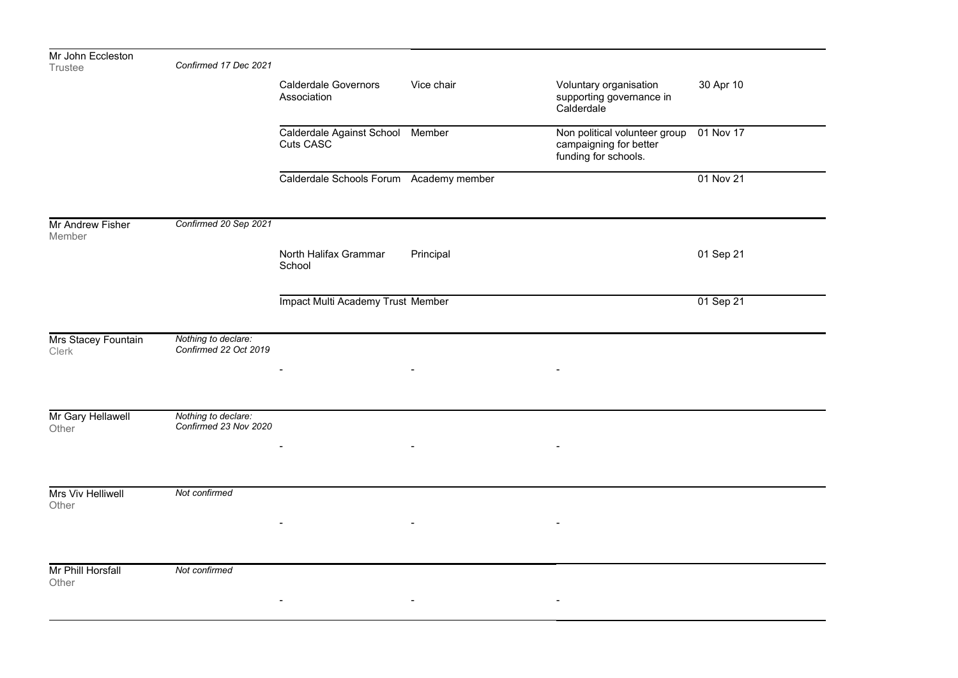| Mr John Eccleston<br><b>Trustee</b> | Confirmed 17 Dec 2021                        |                                               |                          |                                                                                 |           |
|-------------------------------------|----------------------------------------------|-----------------------------------------------|--------------------------|---------------------------------------------------------------------------------|-----------|
|                                     |                                              | <b>Calderdale Governors</b><br>Association    | Vice chair               | Voluntary organisation<br>supporting governance in<br>Calderdale                | 30 Apr 10 |
|                                     |                                              | Calderdale Against School Member<br>Cuts CASC |                          | Non political volunteer group<br>campaigning for better<br>funding for schools. | 01 Nov 17 |
|                                     |                                              | Calderdale Schools Forum Academy member       |                          |                                                                                 | 01 Nov 21 |
| Mr Andrew Fisher<br>Member          | Confirmed 20 Sep 2021                        |                                               |                          |                                                                                 |           |
|                                     |                                              | North Halifax Grammar<br>School               | Principal                |                                                                                 | 01 Sep 21 |
|                                     |                                              | <b>Impact Multi Academy Trust Member</b>      |                          |                                                                                 | 01 Sep 21 |
| Mrs Stacey Fountain<br>Clerk        | Nothing to declare:<br>Confirmed 22 Oct 2019 |                                               |                          |                                                                                 |           |
|                                     |                                              |                                               |                          |                                                                                 |           |
| Mr Gary Hellawell<br>Other          | Nothing to declare:<br>Confirmed 23 Nov 2020 |                                               |                          |                                                                                 |           |
|                                     |                                              |                                               | $\overline{\phantom{a}}$ |                                                                                 |           |
| Mrs Viv Helliwell<br>Other          | Not confirmed                                |                                               |                          |                                                                                 |           |
|                                     |                                              |                                               |                          |                                                                                 |           |
| Mr Phill Horsfall<br>Other          | Not confirmed                                |                                               |                          |                                                                                 |           |
|                                     |                                              |                                               |                          |                                                                                 |           |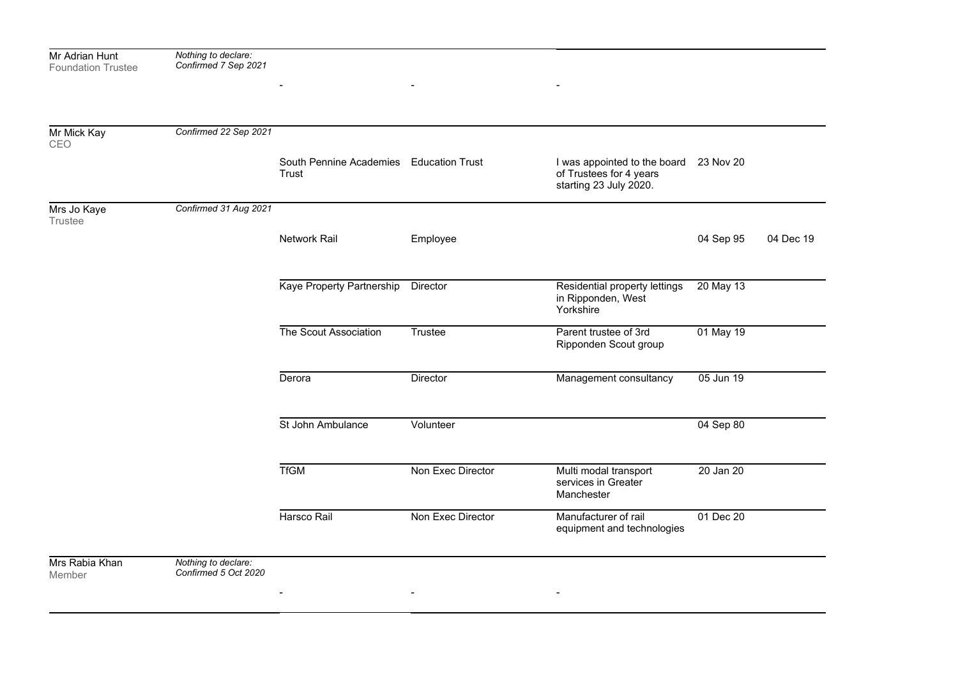| Mr Adrian Hunt<br><b>Foundation Trustee</b> | Nothing to declare:<br>Confirmed 7 Sep 2021 |                                                  |                   |                                                                                   |           |           |
|---------------------------------------------|---------------------------------------------|--------------------------------------------------|-------------------|-----------------------------------------------------------------------------------|-----------|-----------|
|                                             |                                             |                                                  |                   |                                                                                   |           |           |
|                                             |                                             |                                                  |                   |                                                                                   |           |           |
| Mr Mick Kay<br>CEO                          | Confirmed 22 Sep 2021                       |                                                  |                   |                                                                                   |           |           |
|                                             |                                             | South Pennine Academies Education Trust<br>Trust |                   | I was appointed to the board<br>of Trustees for 4 years<br>starting 23 July 2020. | 23 Nov 20 |           |
| Mrs Jo Kaye<br>Trustee                      | Confirmed 31 Aug 2021                       |                                                  |                   |                                                                                   |           |           |
|                                             |                                             | Network Rail                                     | Employee          |                                                                                   | 04 Sep 95 | 04 Dec 19 |
|                                             |                                             |                                                  |                   |                                                                                   |           |           |
|                                             |                                             | Kaye Property Partnership                        | Director          | Residential property lettings<br>in Ripponden, West<br>Yorkshire                  | 20 May 13 |           |
|                                             |                                             | The Scout Association                            | Trustee           | Parent trustee of 3rd<br>Ripponden Scout group                                    | 01 May 19 |           |
|                                             |                                             | Derora                                           | Director          | Management consultancy                                                            | 05 Jun 19 |           |
|                                             |                                             | St John Ambulance                                | Volunteer         |                                                                                   | 04 Sep 80 |           |
|                                             |                                             | <b>TfGM</b>                                      | Non Exec Director | Multi modal transport<br>services in Greater<br>Manchester                        | 20 Jan 20 |           |
|                                             |                                             | Harsco Rail                                      | Non Exec Director | Manufacturer of rail<br>equipment and technologies                                | 01 Dec 20 |           |
| Mrs Rabia Khan<br>Member                    | Nothing to declare:<br>Confirmed 5 Oct 2020 |                                                  |                   |                                                                                   |           |           |
|                                             |                                             |                                                  |                   |                                                                                   |           |           |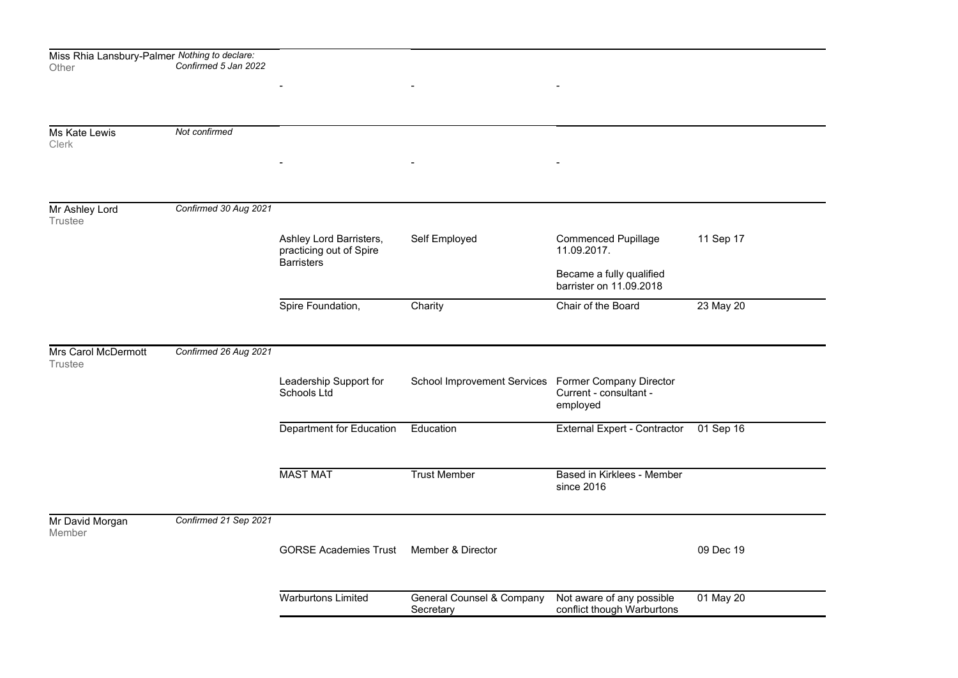| Miss Rhia Lansbury-Palmer <i>Nothing to declare:</i><br>Other | Confirmed 5 Jan 2022  |                                                                         |                                                     |                                                         |           |
|---------------------------------------------------------------|-----------------------|-------------------------------------------------------------------------|-----------------------------------------------------|---------------------------------------------------------|-----------|
|                                                               |                       |                                                                         |                                                     |                                                         |           |
| Ms Kate Lewis<br><b>Clerk</b>                                 | Not confirmed         |                                                                         |                                                     |                                                         |           |
|                                                               |                       |                                                                         |                                                     |                                                         |           |
| Mr Ashley Lord<br>Trustee                                     | Confirmed 30 Aug 2021 |                                                                         |                                                     |                                                         |           |
|                                                               |                       | Ashley Lord Barristers,<br>practicing out of Spire<br><b>Barristers</b> | Self Employed                                       | <b>Commenced Pupillage</b><br>11.09.2017.               | 11 Sep 17 |
|                                                               |                       |                                                                         |                                                     | Became a fully qualified<br>barrister on 11.09.2018     |           |
|                                                               |                       | Spire Foundation,                                                       | Charity                                             | Chair of the Board                                      | 23 May 20 |
|                                                               |                       |                                                                         |                                                     |                                                         |           |
| Mrs Carol McDermott<br><b>Trustee</b>                         | Confirmed 26 Aug 2021 |                                                                         |                                                     |                                                         |           |
|                                                               |                       | Leadership Support for<br>Schools Ltd                                   | School Improvement Services Former Company Director | Current - consultant -<br>employed                      |           |
|                                                               |                       | Department for Education                                                | Education                                           | External Expert - Contractor                            | 01 Sep 16 |
|                                                               |                       | <b>MAST MAT</b>                                                         | <b>Trust Member</b>                                 | Based in Kirklees - Member<br>since 2016                |           |
| Mr David Morgan<br>Member                                     | Confirmed 21 Sep 2021 |                                                                         |                                                     |                                                         |           |
|                                                               |                       | <b>GORSE Academies Trust</b>                                            | Member & Director                                   |                                                         | 09 Dec 19 |
|                                                               |                       | <b>Warburtons Limited</b>                                               | <b>General Counsel &amp; Company</b><br>Secretary   | Not aware of any possible<br>conflict though Warburtons | 01 May 20 |